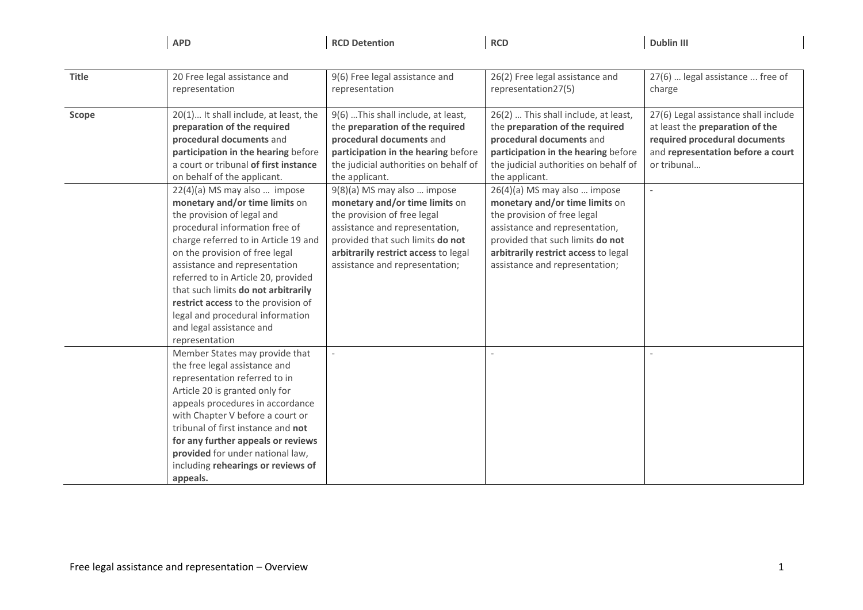**APD**

**RCD Detention RCD Dublin III**

| <b>Title</b> | 20 Free legal assistance and<br>representation                                                                                                                                                                                                                                                                                                                                                                                                                                                                                                                                                                                                                      | 9(6) Free legal assistance and<br>representation                                                                                                                                                                                                                                                                                                                                                                                                     | 26(2) Free legal assistance and<br>representation27(5)                                                                                                                                                                                                                                                                                                                                                                                                 | 27(6)  legal assistance  free of<br>charge                                                                                                                                               |
|--------------|---------------------------------------------------------------------------------------------------------------------------------------------------------------------------------------------------------------------------------------------------------------------------------------------------------------------------------------------------------------------------------------------------------------------------------------------------------------------------------------------------------------------------------------------------------------------------------------------------------------------------------------------------------------------|------------------------------------------------------------------------------------------------------------------------------------------------------------------------------------------------------------------------------------------------------------------------------------------------------------------------------------------------------------------------------------------------------------------------------------------------------|--------------------------------------------------------------------------------------------------------------------------------------------------------------------------------------------------------------------------------------------------------------------------------------------------------------------------------------------------------------------------------------------------------------------------------------------------------|------------------------------------------------------------------------------------------------------------------------------------------------------------------------------------------|
| Scope        | 20(1) It shall include, at least, the<br>preparation of the required<br>procedural documents and<br>participation in the hearing before<br>a court or tribunal of first instance<br>on behalf of the applicant.<br>22(4)(a) MS may also  impose<br>monetary and/or time limits on<br>the provision of legal and<br>procedural information free of<br>charge referred to in Article 19 and<br>on the provision of free legal<br>assistance and representation<br>referred to in Article 20, provided<br>that such limits do not arbitrarily<br>restrict access to the provision of<br>legal and procedural information<br>and legal assistance and<br>representation | 9(6)  This shall include, at least,<br>the preparation of the required<br>procedural documents and<br>participation in the hearing before<br>the judicial authorities on behalf of<br>the applicant.<br>9(8)(a) MS may also  impose<br>monetary and/or time limits on<br>the provision of free legal<br>assistance and representation,<br>provided that such limits do not<br>arbitrarily restrict access to legal<br>assistance and representation; | 26(2)  This shall include, at least,<br>the preparation of the required<br>procedural documents and<br>participation in the hearing before<br>the judicial authorities on behalf of<br>the applicant.<br>26(4)(a) MS may also  impose<br>monetary and/or time limits on<br>the provision of free legal<br>assistance and representation,<br>provided that such limits do not<br>arbitrarily restrict access to legal<br>assistance and representation; | 27(6) Legal assistance shall include<br>at least the preparation of the<br>required procedural documents<br>and representation before a court<br>or tribunal<br>$\overline{\phantom{a}}$ |
|              | Member States may provide that<br>the free legal assistance and<br>representation referred to in<br>Article 20 is granted only for<br>appeals procedures in accordance<br>with Chapter V before a court or<br>tribunal of first instance and not<br>for any further appeals or reviews<br>provided for under national law,<br>including rehearings or reviews of<br>appeals.                                                                                                                                                                                                                                                                                        |                                                                                                                                                                                                                                                                                                                                                                                                                                                      |                                                                                                                                                                                                                                                                                                                                                                                                                                                        |                                                                                                                                                                                          |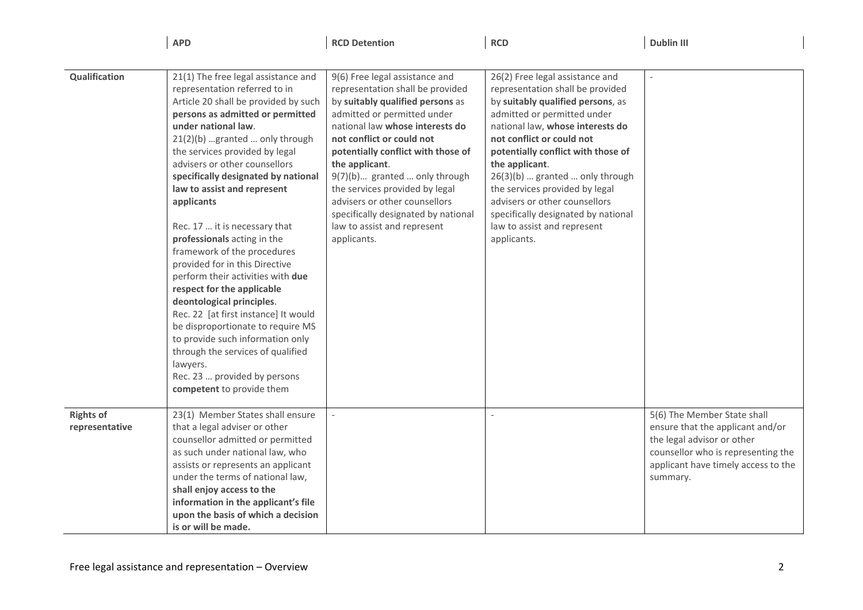| Qualification                      | 21(1) The free legal assistance and<br>representation referred to in<br>Article 20 shall be provided by such<br>persons as admitted or permitted<br>under national law.<br>21(2)(b) granted  only through<br>the services provided by legal<br>advisers or other counsellors<br>specifically designated by national<br>law to assist and represent<br>applicants<br>Rec. 17  it is necessary that<br>professionals acting in the<br>framework of the procedures<br>provided for in this Directive<br>perform their activities with due<br>respect for the applicable<br>deontological principles.<br>Rec. 22 [at first instance] It would<br>be disproportionate to require MS<br>to provide such information only<br>through the services of qualified<br>lawyers.<br>Rec. 23  provided by persons<br>competent to provide them | 9(6) Free legal assistance and<br>representation shall be provided<br>by suitably qualified persons as<br>admitted or permitted under<br>national law whose interests do<br>not conflict or could not<br>potentially conflict with those of<br>the applicant.<br>9(7)(b) granted  only through<br>the services provided by legal<br>advisers or other counsellors<br>specifically designated by national<br>law to assist and represent<br>applicants. | 26(2) Free legal assistance and<br>representation shall be provided<br>by suitably qualified persons, as<br>admitted or permitted under<br>national law, whose interests do<br>not conflict or could not<br>potentially conflict with those of<br>the applicant.<br>26(3)(b)  granted  only through<br>the services provided by legal<br>advisers or other counsellors<br>specifically designated by national<br>law to assist and represent<br>applicants. |                                                                                                                                                                                        |
|------------------------------------|----------------------------------------------------------------------------------------------------------------------------------------------------------------------------------------------------------------------------------------------------------------------------------------------------------------------------------------------------------------------------------------------------------------------------------------------------------------------------------------------------------------------------------------------------------------------------------------------------------------------------------------------------------------------------------------------------------------------------------------------------------------------------------------------------------------------------------|--------------------------------------------------------------------------------------------------------------------------------------------------------------------------------------------------------------------------------------------------------------------------------------------------------------------------------------------------------------------------------------------------------------------------------------------------------|-------------------------------------------------------------------------------------------------------------------------------------------------------------------------------------------------------------------------------------------------------------------------------------------------------------------------------------------------------------------------------------------------------------------------------------------------------------|----------------------------------------------------------------------------------------------------------------------------------------------------------------------------------------|
| <b>Rights of</b><br>representative | 23(1) Member States shall ensure<br>that a legal adviser or other<br>counsellor admitted or permitted<br>as such under national law, who<br>assists or represents an applicant<br>under the terms of national law,<br>shall enjoy access to the<br>information in the applicant's file<br>upon the basis of which a decision<br>is or will be made.                                                                                                                                                                                                                                                                                                                                                                                                                                                                              |                                                                                                                                                                                                                                                                                                                                                                                                                                                        |                                                                                                                                                                                                                                                                                                                                                                                                                                                             | 5(6) The Member State shall<br>ensure that the applicant and/or<br>the legal advisor or other<br>counsellor who is representing the<br>applicant have timely access to the<br>summary. |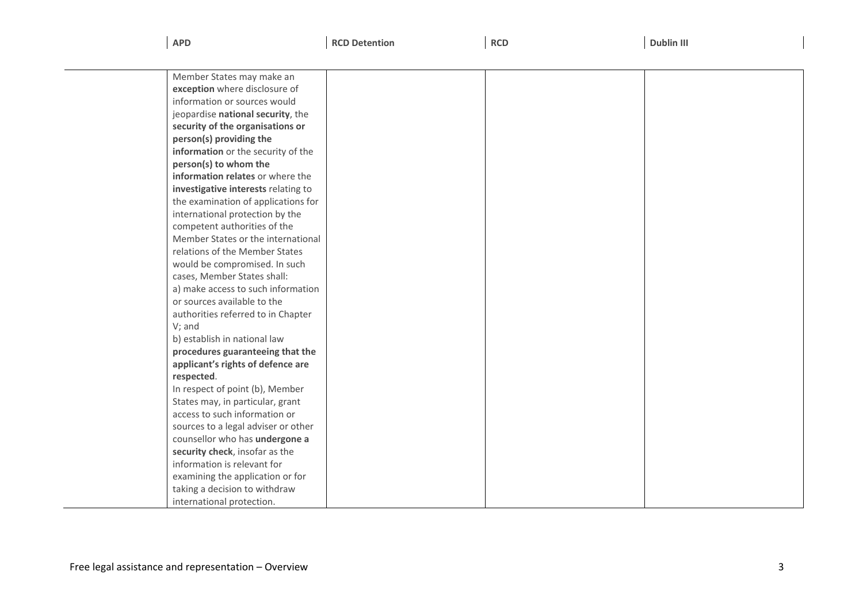| <b>APD</b> | <b>RCD Detention</b><br>. | <b>RCD</b> | <b>Dublin III</b><br>the contract of the contract of the contract of the contract of the contract of the contract of the contract of |
|------------|---------------------------|------------|--------------------------------------------------------------------------------------------------------------------------------------|
|            |                           |            |                                                                                                                                      |

| Member States may make an           |  |  |
|-------------------------------------|--|--|
| exception where disclosure of       |  |  |
| information or sources would        |  |  |
| jeopardise national security, the   |  |  |
| security of the organisations or    |  |  |
| person(s) providing the             |  |  |
| information or the security of the  |  |  |
| person(s) to whom the               |  |  |
| information relates or where the    |  |  |
| investigative interests relating to |  |  |
| the examination of applications for |  |  |
| international protection by the     |  |  |
| competent authorities of the        |  |  |
| Member States or the international  |  |  |
| relations of the Member States      |  |  |
| would be compromised. In such       |  |  |
| cases, Member States shall:         |  |  |
| a) make access to such information  |  |  |
| or sources available to the         |  |  |
| authorities referred to in Chapter  |  |  |
| $V$ ; and                           |  |  |
| b) establish in national law        |  |  |
| procedures guaranteeing that the    |  |  |
| applicant's rights of defence are   |  |  |
| respected.                          |  |  |
| In respect of point (b), Member     |  |  |
| States may, in particular, grant    |  |  |
| access to such information or       |  |  |
| sources to a legal adviser or other |  |  |
| counsellor who has undergone a      |  |  |
| security check, insofar as the      |  |  |
| information is relevant for         |  |  |
| examining the application or for    |  |  |
| taking a decision to withdraw       |  |  |
| international protection.           |  |  |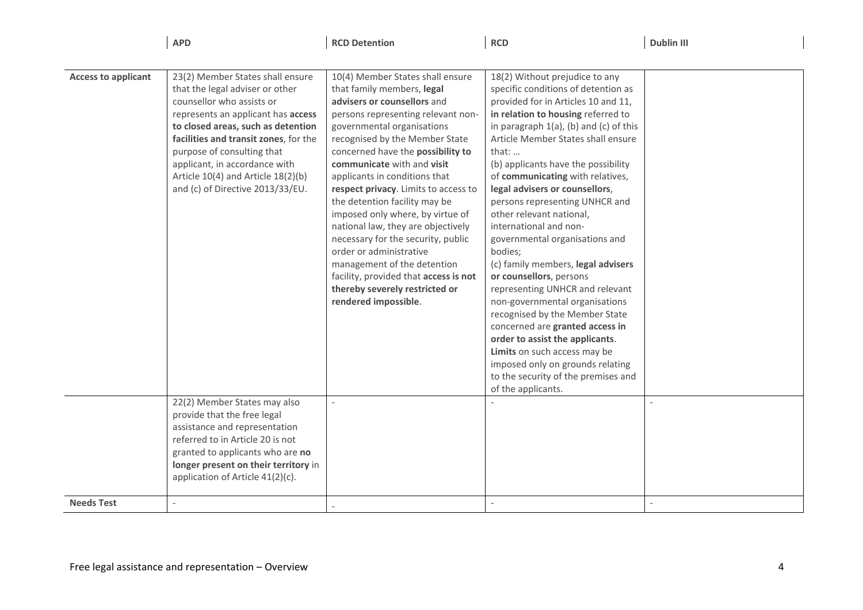**APD**

**RCD Detention RCD Dublin III**

| <b>Access to applicant</b> | 23(2) Member States shall ensure      | 10(4) Member States shall ensure      | 18(2) Without prejudice to any            |  |
|----------------------------|---------------------------------------|---------------------------------------|-------------------------------------------|--|
|                            | that the legal adviser or other       | that family members, legal            | specific conditions of detention as       |  |
|                            | counsellor who assists or             | advisers or counsellors and           | provided for in Articles 10 and 11,       |  |
|                            | represents an applicant has access    | persons representing relevant non-    | in relation to housing referred to        |  |
|                            | to closed areas, such as detention    | governmental organisations            | in paragraph $1(a)$ , (b) and (c) of this |  |
|                            | facilities and transit zones, for the | recognised by the Member State        | Article Member States shall ensure        |  |
|                            | purpose of consulting that            | concerned have the possibility to     | that: $\dots$                             |  |
|                            | applicant, in accordance with         | communicate with and visit            | (b) applicants have the possibility       |  |
|                            | Article 10(4) and Article 18(2)(b)    | applicants in conditions that         | of communicating with relatives,          |  |
|                            | and (c) of Directive 2013/33/EU.      | respect privacy. Limits to access to  | legal advisers or counsellors,            |  |
|                            |                                       | the detention facility may be         | persons representing UNHCR and            |  |
|                            |                                       | imposed only where, by virtue of      | other relevant national,                  |  |
|                            |                                       | national law, they are objectively    | international and non-                    |  |
|                            |                                       | necessary for the security, public    | governmental organisations and            |  |
|                            |                                       | order or administrative               | bodies;                                   |  |
|                            |                                       | management of the detention           | (c) family members, legal advisers        |  |
|                            |                                       | facility, provided that access is not | or counsellors, persons                   |  |
|                            |                                       | thereby severely restricted or        | representing UNHCR and relevant           |  |
|                            |                                       | rendered impossible.                  | non-governmental organisations            |  |
|                            |                                       |                                       | recognised by the Member State            |  |
|                            |                                       |                                       | concerned are granted access in           |  |
|                            |                                       |                                       | order to assist the applicants.           |  |
|                            |                                       |                                       | Limits on such access may be              |  |
|                            |                                       |                                       | imposed only on grounds relating          |  |
|                            |                                       |                                       | to the security of the premises and       |  |
|                            |                                       |                                       | of the applicants.                        |  |
|                            | 22(2) Member States may also          |                                       |                                           |  |
|                            | provide that the free legal           |                                       |                                           |  |
|                            | assistance and representation         |                                       |                                           |  |
|                            | referred to in Article 20 is not      |                                       |                                           |  |
|                            | granted to applicants who are no      |                                       |                                           |  |
|                            | longer present on their territory in  |                                       |                                           |  |
|                            | application of Article 41(2)(c).      |                                       |                                           |  |
|                            |                                       |                                       |                                           |  |
| <b>Needs Test</b>          |                                       |                                       |                                           |  |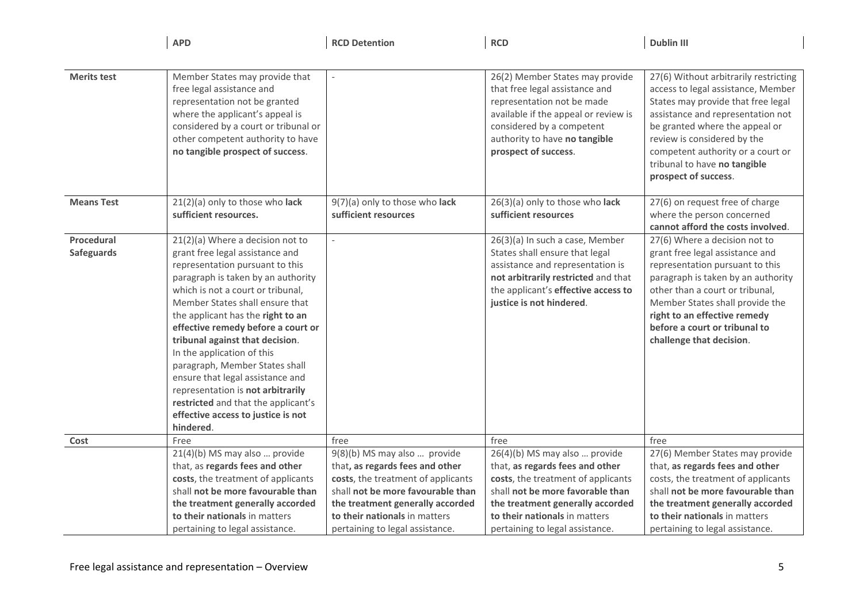|                    | <b>APD</b>                                                                                                                                                                                                                                                                                                                                                                                                                                                                                                                        | <b>RCD Detention</b>                                                  | <b>RCD</b>                                                                                                                                                                                                                    | <b>Dublin III</b>                                                                                                                                                                                                                                                                                                    |
|--------------------|-----------------------------------------------------------------------------------------------------------------------------------------------------------------------------------------------------------------------------------------------------------------------------------------------------------------------------------------------------------------------------------------------------------------------------------------------------------------------------------------------------------------------------------|-----------------------------------------------------------------------|-------------------------------------------------------------------------------------------------------------------------------------------------------------------------------------------------------------------------------|----------------------------------------------------------------------------------------------------------------------------------------------------------------------------------------------------------------------------------------------------------------------------------------------------------------------|
|                    |                                                                                                                                                                                                                                                                                                                                                                                                                                                                                                                                   |                                                                       |                                                                                                                                                                                                                               |                                                                                                                                                                                                                                                                                                                      |
| <b>Merits test</b> | Member States may provide that<br>free legal assistance and<br>representation not be granted<br>where the applicant's appeal is<br>considered by a court or tribunal or<br>other competent authority to have<br>no tangible prospect of success.                                                                                                                                                                                                                                                                                  |                                                                       | 26(2) Member States may provide<br>that free legal assistance and<br>representation not be made<br>available if the appeal or review is<br>considered by a competent<br>authority to have no tangible<br>prospect of success. | 27(6) Without arbitrarily restricting<br>access to legal assistance, Member<br>States may provide that free legal<br>assistance and representation not<br>be granted where the appeal or<br>review is considered by the<br>competent authority or a court or<br>tribunal to have no tangible<br>prospect of success. |
| <b>Means Test</b>  | 21(2)(a) only to those who lack<br>sufficient resources.                                                                                                                                                                                                                                                                                                                                                                                                                                                                          | 9(7)(a) only to those who lack<br>sufficient resources                | 26(3)(a) only to those who lack<br>sufficient resources                                                                                                                                                                       | 27(6) on request free of charge<br>where the person concerned<br>cannot afford the costs involved.                                                                                                                                                                                                                   |
| Procedural         | 21(2)(a) Where a decision not to                                                                                                                                                                                                                                                                                                                                                                                                                                                                                                  | $\overline{\phantom{a}}$                                              | 26(3)(a) In such a case, Member                                                                                                                                                                                               | 27(6) Where a decision not to                                                                                                                                                                                                                                                                                        |
| Safeguards         | grant free legal assistance and<br>representation pursuant to this<br>paragraph is taken by an authority<br>which is not a court or tribunal,<br>Member States shall ensure that<br>the applicant has the right to an<br>effective remedy before a court or<br>tribunal against that decision.<br>In the application of this<br>paragraph, Member States shall<br>ensure that legal assistance and<br>representation is not arbitrarily<br>restricted and that the applicant's<br>effective access to justice is not<br>hindered. |                                                                       | States shall ensure that legal<br>assistance and representation is<br>not arbitrarily restricted and that<br>the applicant's effective access to<br>justice is not hindered.                                                  | grant free legal assistance and<br>representation pursuant to this<br>paragraph is taken by an authority<br>other than a court or tribunal,<br>Member States shall provide the<br>right to an effective remedy<br>before a court or tribunal to<br>challenge that decision.                                          |
| Cost               | Free                                                                                                                                                                                                                                                                                                                                                                                                                                                                                                                              | free                                                                  | free                                                                                                                                                                                                                          | free                                                                                                                                                                                                                                                                                                                 |
|                    | 21(4)(b) MS may also  provide                                                                                                                                                                                                                                                                                                                                                                                                                                                                                                     | 9(8)(b) MS may also  provide                                          | 26(4)(b) MS may also  provide                                                                                                                                                                                                 | 27(6) Member States may provide                                                                                                                                                                                                                                                                                      |
|                    | that, as regards fees and other<br>costs, the treatment of applicants                                                                                                                                                                                                                                                                                                                                                                                                                                                             | that, as regards fees and other<br>costs, the treatment of applicants | that, as regards fees and other<br>costs, the treatment of applicants                                                                                                                                                         | that, as regards fees and other<br>costs, the treatment of applicants                                                                                                                                                                                                                                                |
|                    | shall not be more favourable than                                                                                                                                                                                                                                                                                                                                                                                                                                                                                                 | shall not be more favourable than                                     | shall not be more favorable than                                                                                                                                                                                              | shall not be more favourable than                                                                                                                                                                                                                                                                                    |
|                    | the treatment generally accorded                                                                                                                                                                                                                                                                                                                                                                                                                                                                                                  | the treatment generally accorded                                      | the treatment generally accorded                                                                                                                                                                                              | the treatment generally accorded                                                                                                                                                                                                                                                                                     |
|                    | to their nationals in matters                                                                                                                                                                                                                                                                                                                                                                                                                                                                                                     | to their nationals in matters                                         | to their nationals in matters                                                                                                                                                                                                 | to their nationals in matters                                                                                                                                                                                                                                                                                        |
|                    | pertaining to legal assistance.                                                                                                                                                                                                                                                                                                                                                                                                                                                                                                   | pertaining to legal assistance.                                       | pertaining to legal assistance.                                                                                                                                                                                               | pertaining to legal assistance.                                                                                                                                                                                                                                                                                      |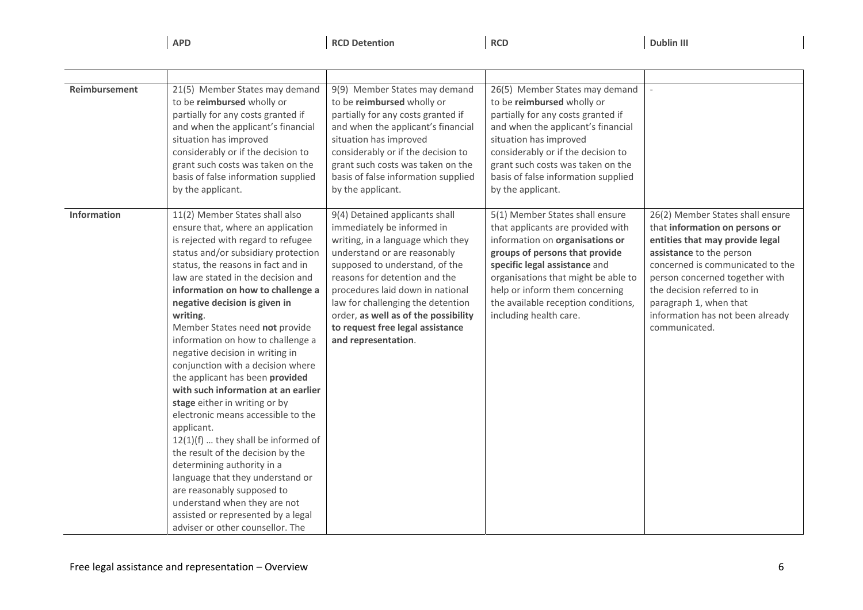**APD**

**RCD Detention RCD Dublin III** 

| Reimbursement | 21(5) Member States may demand<br>to be reimbursed wholly or<br>partially for any costs granted if<br>and when the applicant's financial<br>situation has improved<br>considerably or if the decision to<br>grant such costs was taken on the<br>basis of false information supplied<br>by the applicant.                                                                                                                                                                                                                                                                                                                                                                                                                                                                                                                                                                                                           | 9(9) Member States may demand<br>to be reimbursed wholly or<br>partially for any costs granted if<br>and when the applicant's financial<br>situation has improved<br>considerably or if the decision to<br>grant such costs was taken on the<br>basis of false information supplied<br>by the applicant.                                                                         | 26(5) Member States may demand<br>to be reimbursed wholly or<br>partially for any costs granted if<br>and when the applicant's financial<br>situation has improved<br>considerably or if the decision to<br>grant such costs was taken on the<br>basis of false information supplied<br>by the applicant.            |                                                                                                                                                                                                                                                                                                                       |
|---------------|---------------------------------------------------------------------------------------------------------------------------------------------------------------------------------------------------------------------------------------------------------------------------------------------------------------------------------------------------------------------------------------------------------------------------------------------------------------------------------------------------------------------------------------------------------------------------------------------------------------------------------------------------------------------------------------------------------------------------------------------------------------------------------------------------------------------------------------------------------------------------------------------------------------------|----------------------------------------------------------------------------------------------------------------------------------------------------------------------------------------------------------------------------------------------------------------------------------------------------------------------------------------------------------------------------------|----------------------------------------------------------------------------------------------------------------------------------------------------------------------------------------------------------------------------------------------------------------------------------------------------------------------|-----------------------------------------------------------------------------------------------------------------------------------------------------------------------------------------------------------------------------------------------------------------------------------------------------------------------|
| Information   | 11(2) Member States shall also<br>ensure that, where an application<br>is rejected with regard to refugee<br>status and/or subsidiary protection<br>status, the reasons in fact and in<br>law are stated in the decision and<br>information on how to challenge a<br>negative decision is given in<br>writing.<br>Member States need not provide<br>information on how to challenge a<br>negative decision in writing in<br>conjunction with a decision where<br>the applicant has been provided<br>with such information at an earlier<br>stage either in writing or by<br>electronic means accessible to the<br>applicant.<br>$12(1)(f)$ they shall be informed of<br>the result of the decision by the<br>determining authority in a<br>language that they understand or<br>are reasonably supposed to<br>understand when they are not<br>assisted or represented by a legal<br>adviser or other counsellor. The | 9(4) Detained applicants shall<br>immediately be informed in<br>writing, in a language which they<br>understand or are reasonably<br>supposed to understand, of the<br>reasons for detention and the<br>procedures laid down in national<br>law for challenging the detention<br>order, as well as of the possibility<br>to request free legal assistance<br>and representation. | 5(1) Member States shall ensure<br>that applicants are provided with<br>information on organisations or<br>groups of persons that provide<br>specific legal assistance and<br>organisations that might be able to<br>help or inform them concerning<br>the available reception conditions,<br>including health care. | 26(2) Member States shall ensure<br>that information on persons or<br>entities that may provide legal<br>assistance to the person<br>concerned is communicated to the<br>person concerned together with<br>the decision referred to in<br>paragraph 1, when that<br>information has not been already<br>communicated. |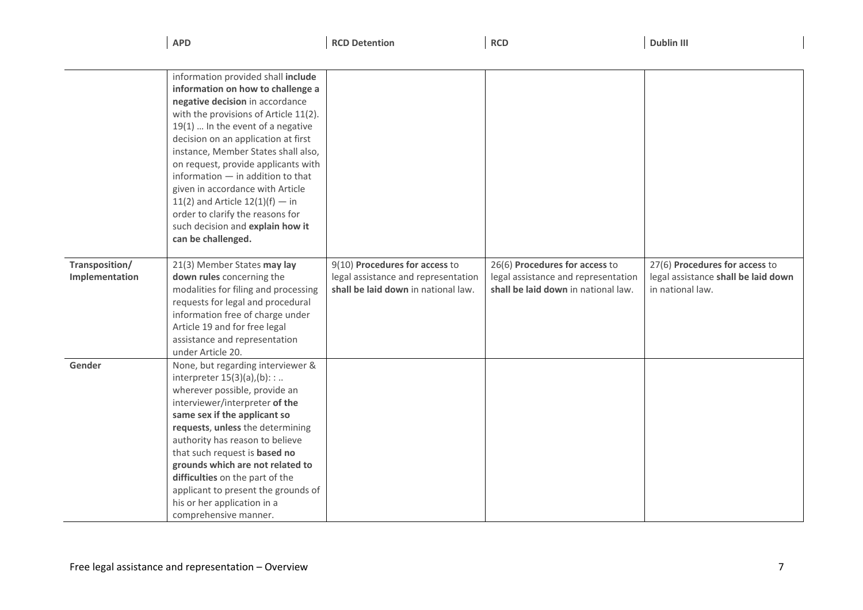|                | <b>APD</b>                                                       | <b>RCD Detention</b>                | <b>RCD</b>                          | <b>Dublin III</b>                   |
|----------------|------------------------------------------------------------------|-------------------------------------|-------------------------------------|-------------------------------------|
|                |                                                                  |                                     |                                     |                                     |
|                | information provided shall include                               |                                     |                                     |                                     |
|                | information on how to challenge a                                |                                     |                                     |                                     |
|                | negative decision in accordance                                  |                                     |                                     |                                     |
|                | with the provisions of Article 11(2).                            |                                     |                                     |                                     |
|                | $19(1)$ In the event of a negative                               |                                     |                                     |                                     |
|                | decision on an application at first                              |                                     |                                     |                                     |
|                | instance, Member States shall also,                              |                                     |                                     |                                     |
|                | on request, provide applicants with                              |                                     |                                     |                                     |
|                | information $-$ in addition to that                              |                                     |                                     |                                     |
|                | given in accordance with Article                                 |                                     |                                     |                                     |
|                | 11(2) and Article $12(1)(f) - in$                                |                                     |                                     |                                     |
|                | order to clarify the reasons for                                 |                                     |                                     |                                     |
|                | such decision and explain how it                                 |                                     |                                     |                                     |
|                | can be challenged.                                               |                                     |                                     |                                     |
|                |                                                                  |                                     |                                     |                                     |
| Transposition/ | 21(3) Member States may lay                                      | 9(10) Procedures for access to      | 26(6) Procedures for access to      | 27(6) Procedures for access to      |
| Implementation | down rules concerning the                                        | legal assistance and representation | legal assistance and representation | legal assistance shall be laid down |
|                | modalities for filing and processing                             | shall be laid down in national law. | shall be laid down in national law. | in national law.                    |
|                | requests for legal and procedural                                |                                     |                                     |                                     |
|                | information free of charge under                                 |                                     |                                     |                                     |
|                | Article 19 and for free legal                                    |                                     |                                     |                                     |
|                | assistance and representation                                    |                                     |                                     |                                     |
|                | under Article 20.                                                |                                     |                                     |                                     |
| Gender         | None, but regarding interviewer &                                |                                     |                                     |                                     |
|                | interpreter $15(3)(a)$ , (b): :                                  |                                     |                                     |                                     |
|                | wherever possible, provide an                                    |                                     |                                     |                                     |
|                | interviewer/interpreter of the                                   |                                     |                                     |                                     |
|                | same sex if the applicant so<br>requests, unless the determining |                                     |                                     |                                     |
|                | authority has reason to believe                                  |                                     |                                     |                                     |
|                | that such request is based no                                    |                                     |                                     |                                     |
|                | grounds which are not related to                                 |                                     |                                     |                                     |
|                | difficulties on the part of the                                  |                                     |                                     |                                     |
|                | applicant to present the grounds of                              |                                     |                                     |                                     |
|                | his or her application in a                                      |                                     |                                     |                                     |
|                | comprehensive manner.                                            |                                     |                                     |                                     |
|                |                                                                  |                                     |                                     |                                     |